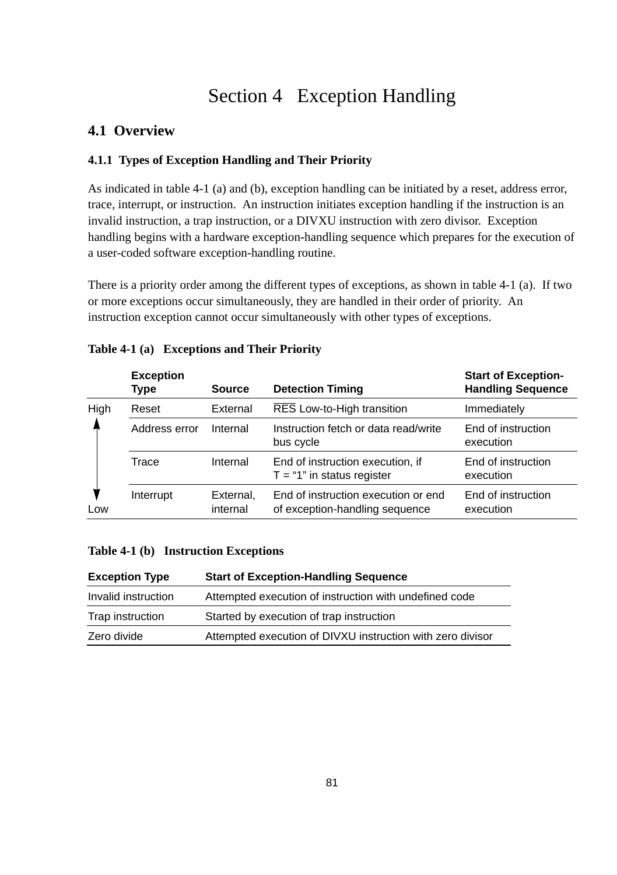# Section 4 Exception Handling

# **4.1 Overview**

#### **4.1.1 Types of Exception Handling and Their Priority**

As indicated in table 4-1 (a) and (b), exception handling can be initiated by a reset, address error, trace, interrupt, or instruction. An instruction initiates exception handling if the instruction is an invalid instruction, a trap instruction, or a DIVXU instruction with zero divisor. Exception handling begins with a hardware exception-handling sequence which prepares for the execution of a user-coded software exception-handling routine.

There is a priority order among the different types of exceptions, as shown in table 4-1 (a). If two or more exceptions occur simultaneously, they are handled in their order of priority. An instruction exception cannot occur simultaneously with other types of exceptions.

|             | <b>Exception</b><br>Type | <b>Source</b>         | <b>Detection Timing</b>                                               | <b>Start of Exception-</b><br><b>Handling Sequence</b> |
|-------------|--------------------------|-----------------------|-----------------------------------------------------------------------|--------------------------------------------------------|
| High<br>Low | Reset                    | External              | RES Low-to-High transition                                            | Immediately                                            |
|             | Address error            | Internal              | Instruction fetch or data read/write<br>bus cycle                     | End of instruction<br>execution                        |
|             | Trace                    | Internal              | End of instruction execution, if<br>$T = "1"$ in status register      | End of instruction<br>execution                        |
|             | Interrupt                | External,<br>internal | End of instruction execution or end<br>of exception-handling sequence | End of instruction<br>execution                        |

#### **Table 4-1 (a) Exceptions and Their Priority**

#### **Table 4-1 (b) Instruction Exceptions**

| <b>Exception Type</b> | <b>Start of Exception-Handling Sequence</b>                |
|-----------------------|------------------------------------------------------------|
| Invalid instruction   | Attempted execution of instruction with undefined code     |
| Trap instruction      | Started by execution of trap instruction                   |
| Zero divide           | Attempted execution of DIVXU instruction with zero divisor |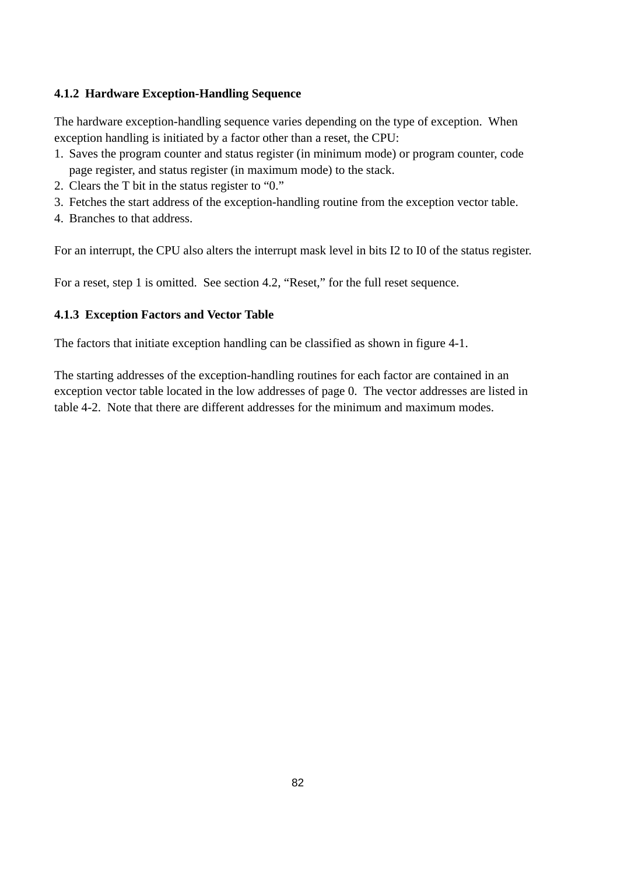#### **4.1.2 Hardware Exception-Handling Sequence**

The hardware exception-handling sequence varies depending on the type of exception. When exception handling is initiated by a factor other than a reset, the CPU:

- 1. Saves the program counter and status register (in minimum mode) or program counter, code page register, and status register (in maximum mode) to the stack.
- 2. Clears the T bit in the status register to "0."
- 3. Fetches the start address of the exception-handling routine from the exception vector table.
- 4. Branches to that address.

For an interrupt, the CPU also alters the interrupt mask level in bits I2 to I0 of the status register.

For a reset, step 1 is omitted. See section 4.2, "Reset," for the full reset sequence.

#### **4.1.3 Exception Factors and Vector Table**

The factors that initiate exception handling can be classified as shown in figure 4-1.

The starting addresses of the exception-handling routines for each factor are contained in an exception vector table located in the low addresses of page 0. The vector addresses are listed in table 4-2. Note that there are different addresses for the minimum and maximum modes.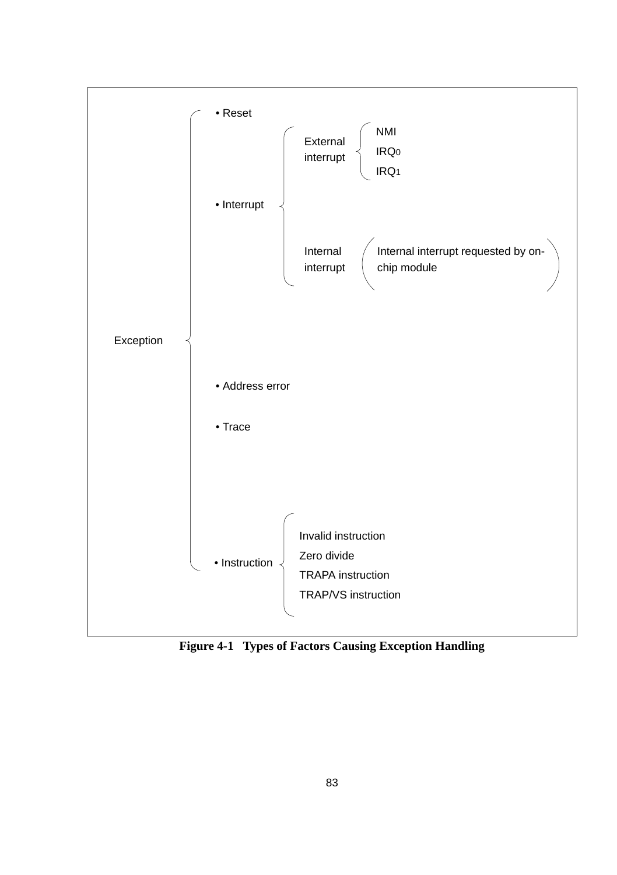

**Figure 4-1 Types of Factors Causing Exception Handling**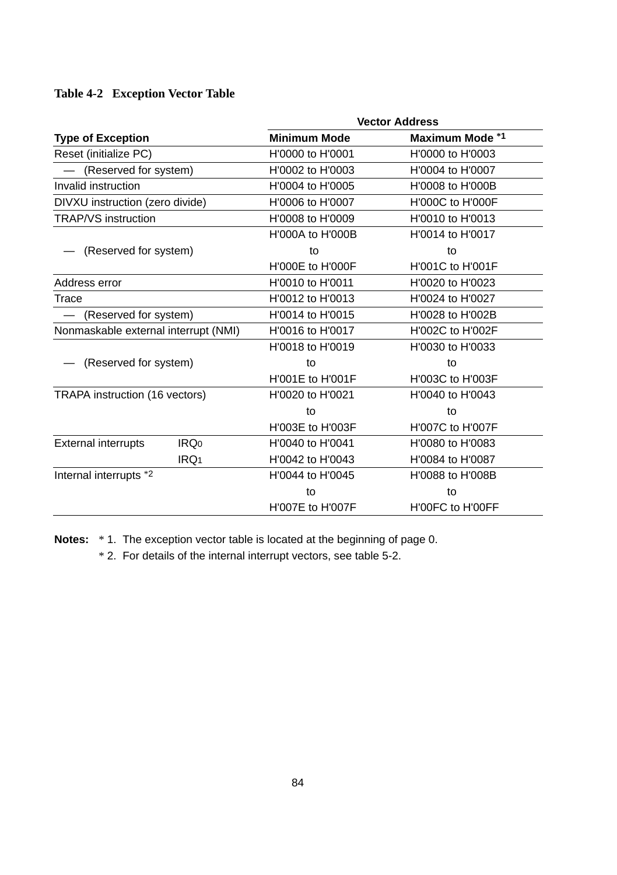#### **Table 4-2 Exception Vector Table**

|                                                | <b>Vector Address</b>   |                  |  |
|------------------------------------------------|-------------------------|------------------|--|
| <b>Type of Exception</b>                       | <b>Minimum Mode</b>     | Maximum Mode *1  |  |
| Reset (initialize PC)                          | H'0000 to H'0001        | H'0000 to H'0003 |  |
| (Reserved for system)                          | H'0002 to H'0003        | H'0004 to H'0007 |  |
| Invalid instruction                            | H'0004 to H'0005        | H'0008 to H'000B |  |
| DIVXU instruction (zero divide)                | H'0006 to H'0007        | H'000C to H'000F |  |
| <b>TRAP/VS</b> instruction                     | H'0008 to H'0009        | H'0010 to H'0013 |  |
|                                                | <b>H'000A to H'000B</b> | H'0014 to H'0017 |  |
| (Reserved for system)                          | to                      | to               |  |
|                                                | H'000E to H'000F        | H'001C to H'001F |  |
| Address error                                  | H'0010 to H'0011        | H'0020 to H'0023 |  |
| Trace                                          | H'0012 to H'0013        | H'0024 to H'0027 |  |
| (Reserved for system)                          | H'0014 to H'0015        | H'0028 to H'002B |  |
| Nonmaskable external interrupt (NMI)           | H'0016 to H'0017        | H'002C to H'002F |  |
|                                                | H'0018 to H'0019        | H'0030 to H'0033 |  |
| (Reserved for system)                          | to                      | to               |  |
|                                                | H'001E to H'001F        | H'003C to H'003F |  |
| TRAPA instruction (16 vectors)                 | H'0020 to H'0021        | H'0040 to H'0043 |  |
|                                                | to                      | to               |  |
|                                                | H'003E to H'003F        | H'007C to H'007F |  |
| <b>External interrupts</b><br>IRQ <sub>0</sub> | H'0040 to H'0041        | H'0080 to H'0083 |  |
| IRQ <sub>1</sub>                               | H'0042 to H'0043        | H'0084 to H'0087 |  |
| Internal interrupts *2                         | H'0044 to H'0045        | H'0088 to H'008B |  |
|                                                | to                      | to               |  |
|                                                | H'007E to H'007F        | H'00FC to H'00FF |  |

**Notes:** \* 1. The exception vector table is located at the beginning of page 0.

\* 2. For details of the internal interrupt vectors, see table 5-2.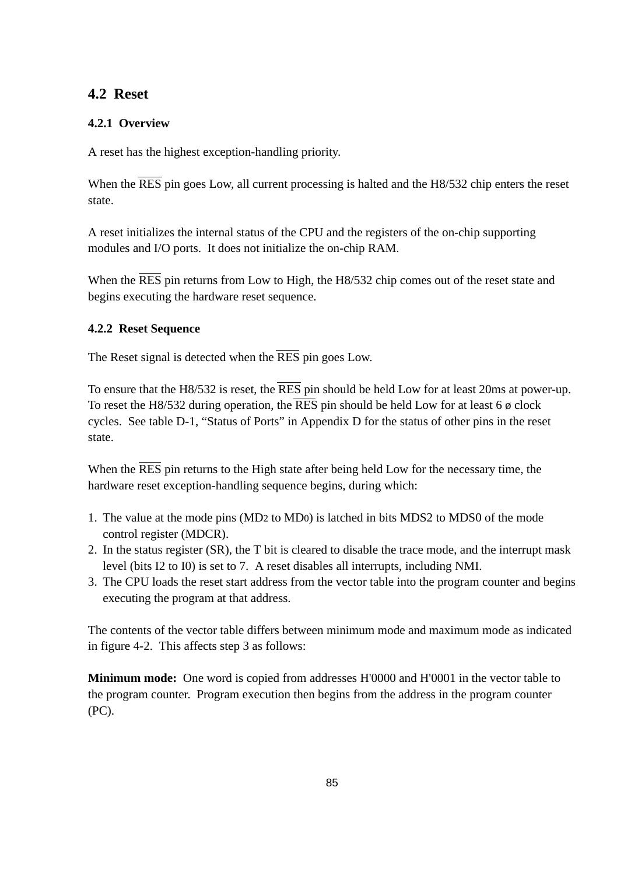### **4.2 Reset**

#### **4.2.1 Overview**

A reset has the highest exception-handling priority.

When the RES pin goes Low, all current processing is halted and the H8/532 chip enters the reset state.

A reset initializes the internal status of the CPU and the registers of the on-chip supporting modules and I/O ports. It does not initialize the on-chip RAM.

When the RES pin returns from Low to High, the H8/532 chip comes out of the reset state and begins executing the hardware reset sequence.

#### **4.2.2 Reset Sequence**

The Reset signal is detected when the  $\overline{\text{RES}}$  pin goes Low.

To ensure that the H8/532 is reset, the RES pin should be held Low for at least 20ms at power-up. To reset the H8/532 during operation, the  $\overline{\text{RES}}$  pin should be held Low for at least 6  $\phi$  clock cycles. See table D-1, "Status of Ports" in Appendix D for the status of other pins in the reset state.

When the  $\overline{\text{RES}}$  pin returns to the High state after being held Low for the necessary time, the hardware reset exception-handling sequence begins, during which:

- 1. The value at the mode pins (MD2 to MD0) is latched in bits MDS2 to MDS0 of the mode control register (MDCR).
- 2. In the status register (SR), the T bit is cleared to disable the trace mode, and the interrupt mask level (bits I2 to I0) is set to 7. A reset disables all interrupts, including NMI.
- 3. The CPU loads the reset start address from the vector table into the program counter and begins executing the program at that address.

The contents of the vector table differs between minimum mode and maximum mode as indicated in figure 4-2. This affects step 3 as follows:

**Minimum mode:** One word is copied from addresses H'0000 and H'0001 in the vector table to the program counter. Program execution then begins from the address in the program counter (PC).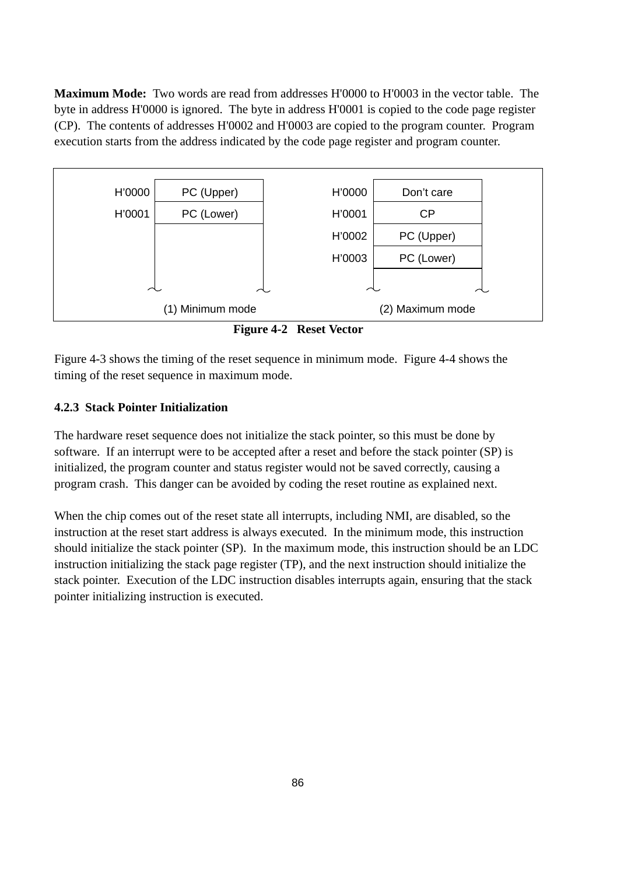**Maximum Mode:** Two words are read from addresses H'0000 to H'0003 in the vector table. The byte in address H'0000 is ignored. The byte in address H'0001 is copied to the code page register (CP). The contents of addresses H'0002 and H'0003 are copied to the program counter. Program execution starts from the address indicated by the code page register and program counter.



**Figure 4-2 Reset Vector**

Figure 4-3 shows the timing of the reset sequence in minimum mode. Figure 4-4 shows the timing of the reset sequence in maximum mode.

#### **4.2.3 Stack Pointer Initialization**

The hardware reset sequence does not initialize the stack pointer, so this must be done by software. If an interrupt were to be accepted after a reset and before the stack pointer (SP) is initialized, the program counter and status register would not be saved correctly, causing a program crash. This danger can be avoided by coding the reset routine as explained next.

When the chip comes out of the reset state all interrupts, including NMI, are disabled, so the instruction at the reset start address is always executed. In the minimum mode, this instruction should initialize the stack pointer (SP). In the maximum mode, this instruction should be an LDC instruction initializing the stack page register (TP), and the next instruction should initialize the stack pointer. Execution of the LDC instruction disables interrupts again, ensuring that the stack pointer initializing instruction is executed.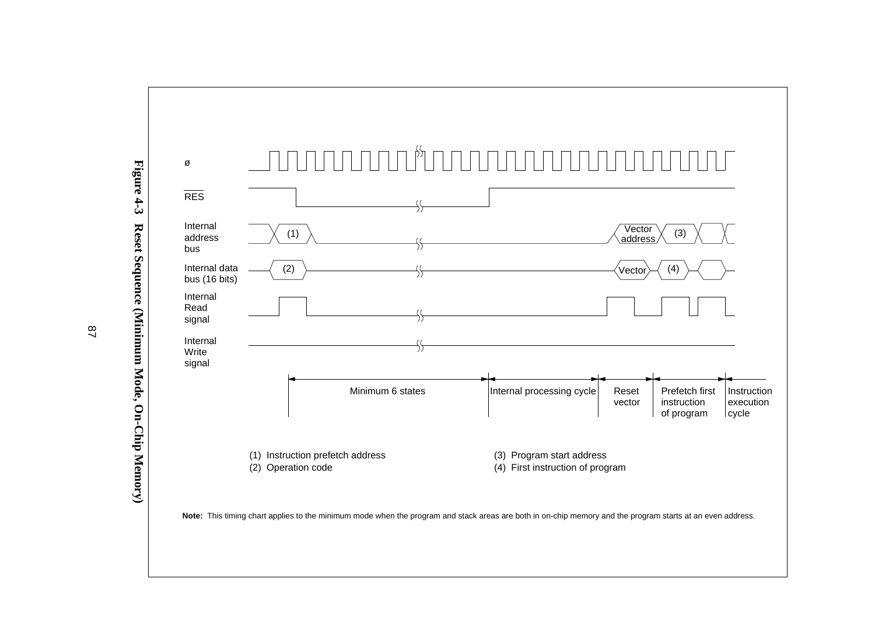

**Note:** This timing chart applies to the minimum mode when the program and stack areas are both in on-chip memory and the program starts at an even address.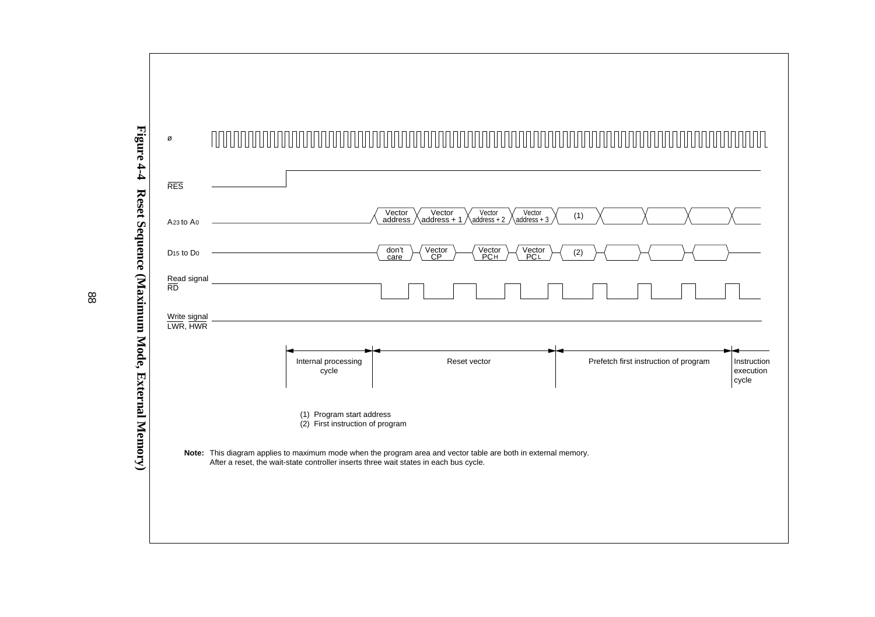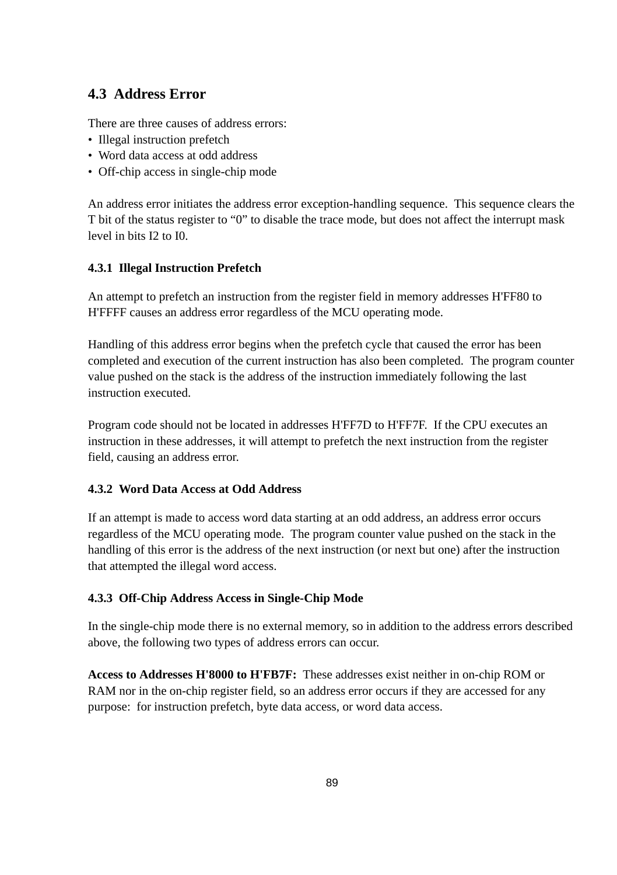### **4.3 Address Error**

There are three causes of address errors:

- Illegal instruction prefetch
- Word data access at odd address
- Off-chip access in single-chip mode

An address error initiates the address error exception-handling sequence. This sequence clears the T bit of the status register to "0" to disable the trace mode, but does not affect the interrupt mask level in bits I2 to I0.

#### **4.3.1 Illegal Instruction Prefetch**

An attempt to prefetch an instruction from the register field in memory addresses H'FF80 to H'FFFF causes an address error regardless of the MCU operating mode.

Handling of this address error begins when the prefetch cycle that caused the error has been completed and execution of the current instruction has also been completed. The program counter value pushed on the stack is the address of the instruction immediately following the last instruction executed.

Program code should not be located in addresses H'FF7D to H'FF7F. If the CPU executes an instruction in these addresses, it will attempt to prefetch the next instruction from the register field, causing an address error.

#### **4.3.2 Word Data Access at Odd Address**

If an attempt is made to access word data starting at an odd address, an address error occurs regardless of the MCU operating mode. The program counter value pushed on the stack in the handling of this error is the address of the next instruction (or next but one) after the instruction that attempted the illegal word access.

#### **4.3.3 Off-Chip Address Access in Single-Chip Mode**

In the single-chip mode there is no external memory, so in addition to the address errors described above, the following two types of address errors can occur.

**Access to Addresses H'8000 to H'FB7F:** These addresses exist neither in on-chip ROM or RAM nor in the on-chip register field, so an address error occurs if they are accessed for any purpose: for instruction prefetch, byte data access, or word data access.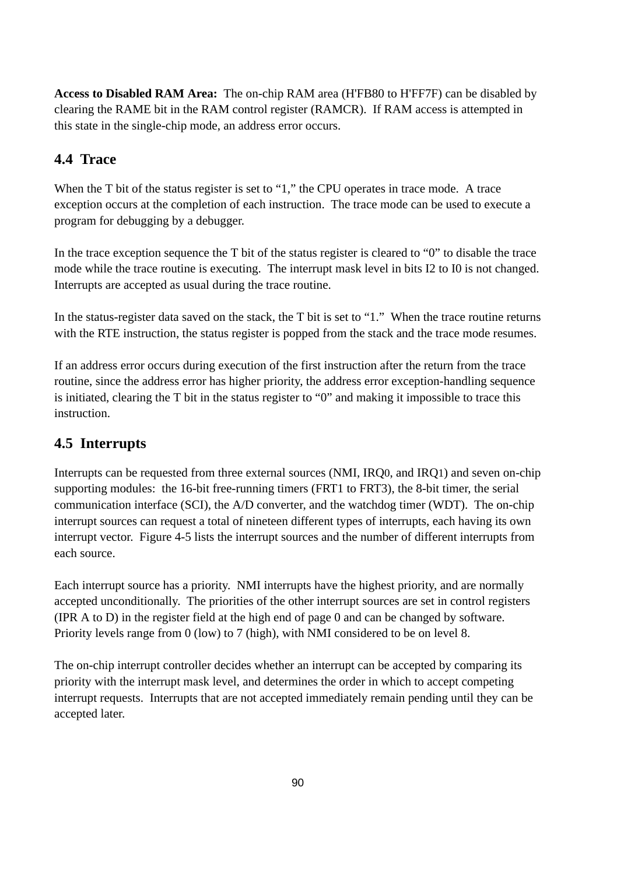**Access to Disabled RAM Area:** The on-chip RAM area (H'FB80 to H'FF7F) can be disabled by clearing the RAME bit in the RAM control register (RAMCR). If RAM access is attempted in this state in the single-chip mode, an address error occurs.

# **4.4 Trace**

When the T bit of the status register is set to "1," the CPU operates in trace mode. A trace exception occurs at the completion of each instruction. The trace mode can be used to execute a program for debugging by a debugger.

In the trace exception sequence the T bit of the status register is cleared to "0" to disable the trace mode while the trace routine is executing. The interrupt mask level in bits I2 to I0 is not changed. Interrupts are accepted as usual during the trace routine.

In the status-register data saved on the stack, the T bit is set to "1." When the trace routine returns with the RTE instruction, the status register is popped from the stack and the trace mode resumes.

If an address error occurs during execution of the first instruction after the return from the trace routine, since the address error has higher priority, the address error exception-handling sequence is initiated, clearing the T bit in the status register to "0" and making it impossible to trace this instruction.

# **4.5 Interrupts**

Interrupts can be requested from three external sources (NMI, IRQ0, and IRQ1) and seven on-chip supporting modules: the 16-bit free-running timers (FRT1 to FRT3), the 8-bit timer, the serial communication interface (SCI), the A/D converter, and the watchdog timer (WDT). The on-chip interrupt sources can request a total of nineteen different types of interrupts, each having its own interrupt vector. Figure 4-5 lists the interrupt sources and the number of different interrupts from each source.

Each interrupt source has a priority. NMI interrupts have the highest priority, and are normally accepted unconditionally. The priorities of the other interrupt sources are set in control registers (IPR A to D) in the register field at the high end of page 0 and can be changed by software. Priority levels range from 0 (low) to 7 (high), with NMI considered to be on level 8.

The on-chip interrupt controller decides whether an interrupt can be accepted by comparing its priority with the interrupt mask level, and determines the order in which to accept competing interrupt requests. Interrupts that are not accepted immediately remain pending until they can be accepted later.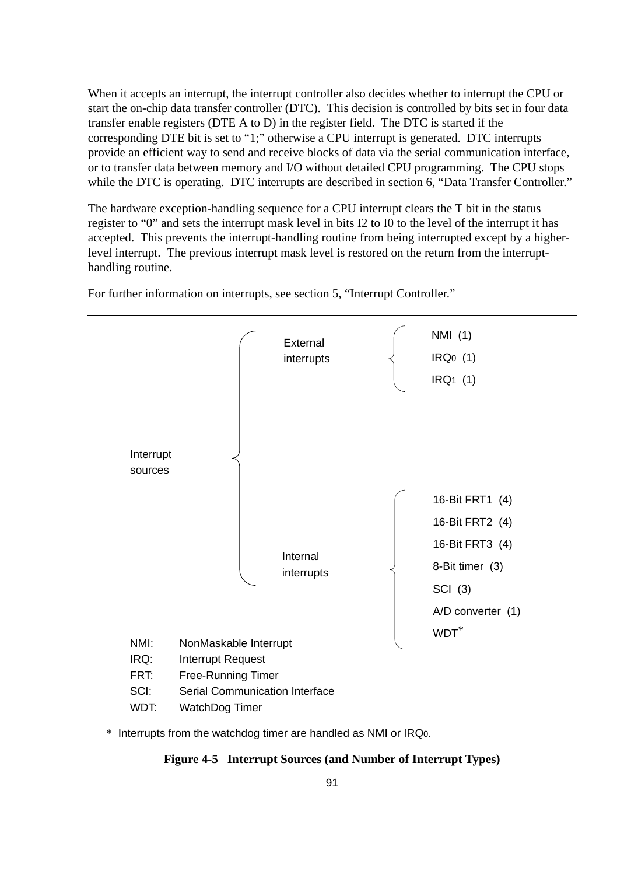When it accepts an interrupt, the interrupt controller also decides whether to interrupt the CPU or start the on-chip data transfer controller (DTC). This decision is controlled by bits set in four data transfer enable registers (DTE A to D) in the register field. The DTC is started if the corresponding DTE bit is set to "1;" otherwise a CPU interrupt is generated. DTC interrupts provide an efficient way to send and receive blocks of data via the serial communication interface, or to transfer data between memory and I/O without detailed CPU programming. The CPU stops while the DTC is operating. DTC interrupts are described in section 6, "Data Transfer Controller."

The hardware exception-handling sequence for a CPU interrupt clears the T bit in the status register to "0" and sets the interrupt mask level in bits I2 to I0 to the level of the interrupt it has accepted. This prevents the interrupt-handling routine from being interrupted except by a higherlevel interrupt. The previous interrupt mask level is restored on the return from the interrupthandling routine.

For further information on interrupts, see section 5, "Interrupt Controller."



**Figure 4-5 Interrupt Sources (and Number of Interrupt Types)**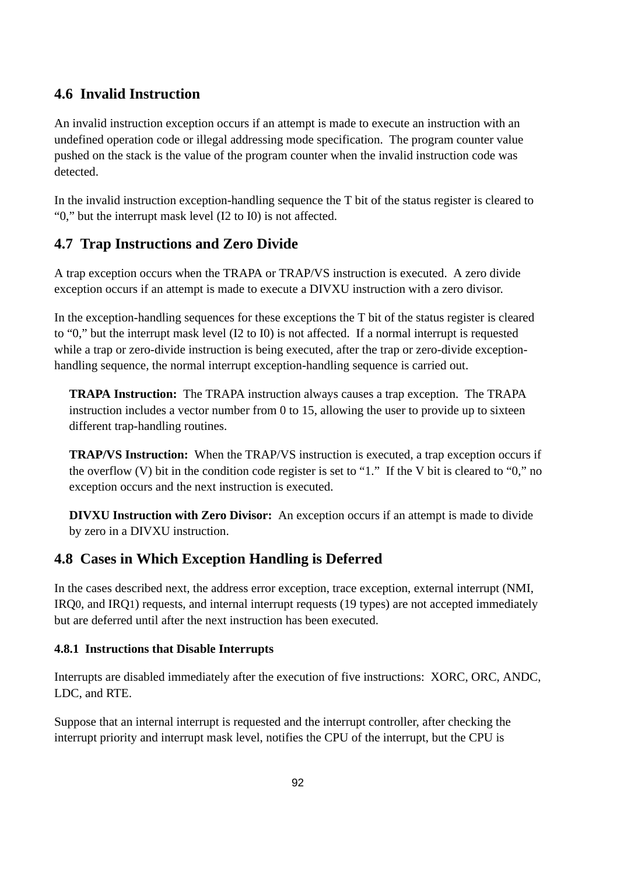# **4.6 Invalid Instruction**

An invalid instruction exception occurs if an attempt is made to execute an instruction with an undefined operation code or illegal addressing mode specification. The program counter value pushed on the stack is the value of the program counter when the invalid instruction code was detected.

In the invalid instruction exception-handling sequence the T bit of the status register is cleared to "0," but the interrupt mask level (I2 to I0) is not affected.

# **4.7 Trap Instructions and Zero Divide**

A trap exception occurs when the TRAPA or TRAP/VS instruction is executed. A zero divide exception occurs if an attempt is made to execute a DIVXU instruction with a zero divisor.

In the exception-handling sequences for these exceptions the T bit of the status register is cleared to "0," but the interrupt mask level (I2 to I0) is not affected. If a normal interrupt is requested while a trap or zero-divide instruction is being executed, after the trap or zero-divide exceptionhandling sequence, the normal interrupt exception-handling sequence is carried out.

**TRAPA Instruction:** The TRAPA instruction always causes a trap exception. The TRAPA instruction includes a vector number from 0 to 15, allowing the user to provide up to sixteen different trap-handling routines.

**TRAP/VS Instruction:** When the TRAP/VS instruction is executed, a trap exception occurs if the overflow (V) bit in the condition code register is set to "1." If the V bit is cleared to "0," no exception occurs and the next instruction is executed.

**DIVXU Instruction with Zero Divisor:** An exception occurs if an attempt is made to divide by zero in a DIVXU instruction.

### **4.8 Cases in Which Exception Handling is Deferred**

In the cases described next, the address error exception, trace exception, external interrupt (NMI, IRQ0, and IRQ1) requests, and internal interrupt requests (19 types) are not accepted immediately but are deferred until after the next instruction has been executed.

#### **4.8.1 Instructions that Disable Interrupts**

Interrupts are disabled immediately after the execution of five instructions: XORC, ORC, ANDC, LDC, and RTE.

Suppose that an internal interrupt is requested and the interrupt controller, after checking the interrupt priority and interrupt mask level, notifies the CPU of the interrupt, but the CPU is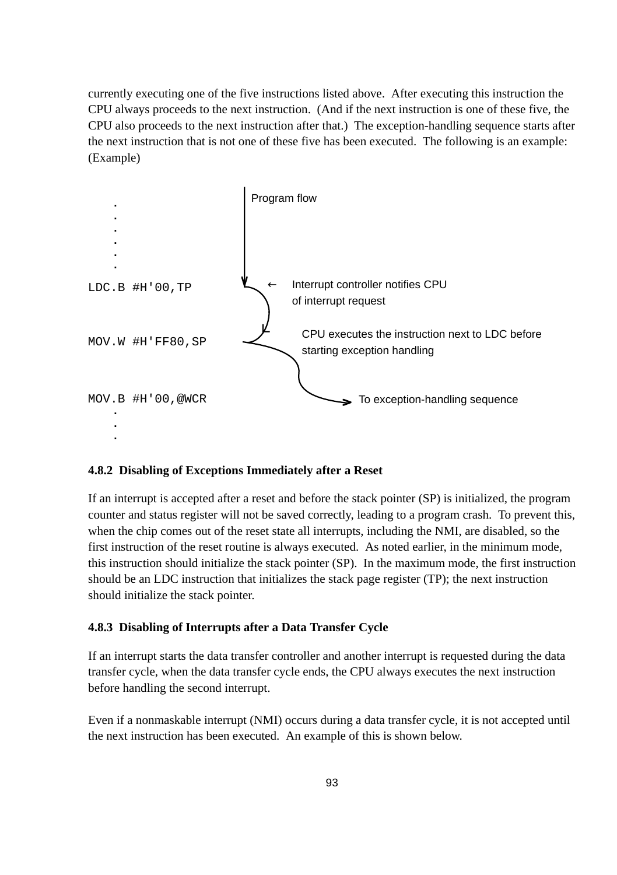currently executing one of the five instructions listed above. After executing this instruction the CPU always proceeds to the next instruction. (And if the next instruction is one of these five, the CPU also proceeds to the next instruction after that.) The exception-handling sequence starts after the next instruction that is not one of these five has been executed. The following is an example: (Example)



#### **4.8.2 Disabling of Exceptions Immediately after a Reset**

If an interrupt is accepted after a reset and before the stack pointer (SP) is initialized, the program counter and status register will not be saved correctly, leading to a program crash. To prevent this, when the chip comes out of the reset state all interrupts, including the NMI, are disabled, so the first instruction of the reset routine is always executed. As noted earlier, in the minimum mode, this instruction should initialize the stack pointer (SP). In the maximum mode, the first instruction should be an LDC instruction that initializes the stack page register (TP); the next instruction should initialize the stack pointer.

#### **4.8.3 Disabling of Interrupts after a Data Transfer Cycle**

If an interrupt starts the data transfer controller and another interrupt is requested during the data transfer cycle, when the data transfer cycle ends, the CPU always executes the next instruction before handling the second interrupt.

Even if a nonmaskable interrupt (NMI) occurs during a data transfer cycle, it is not accepted until the next instruction has been executed. An example of this is shown below.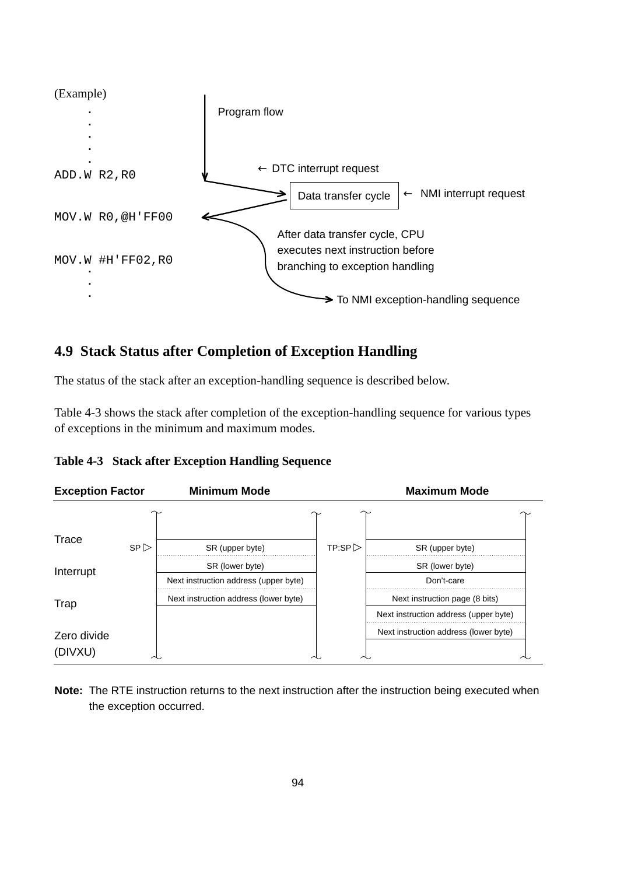

# **4.9 Stack Status after Completion of Exception Handling**

The status of the stack after an exception-handling sequence is described below.

Table 4-3 shows the stack after completion of the exception-handling sequence for various types of exceptions in the minimum and maximum modes.

| Table 4-3 Stack after Exception Handling Sequence |  |  |  |  |
|---------------------------------------------------|--|--|--|--|
|---------------------------------------------------|--|--|--|--|



**Note:** The RTE instruction returns to the next instruction after the instruction being executed when the exception occurred.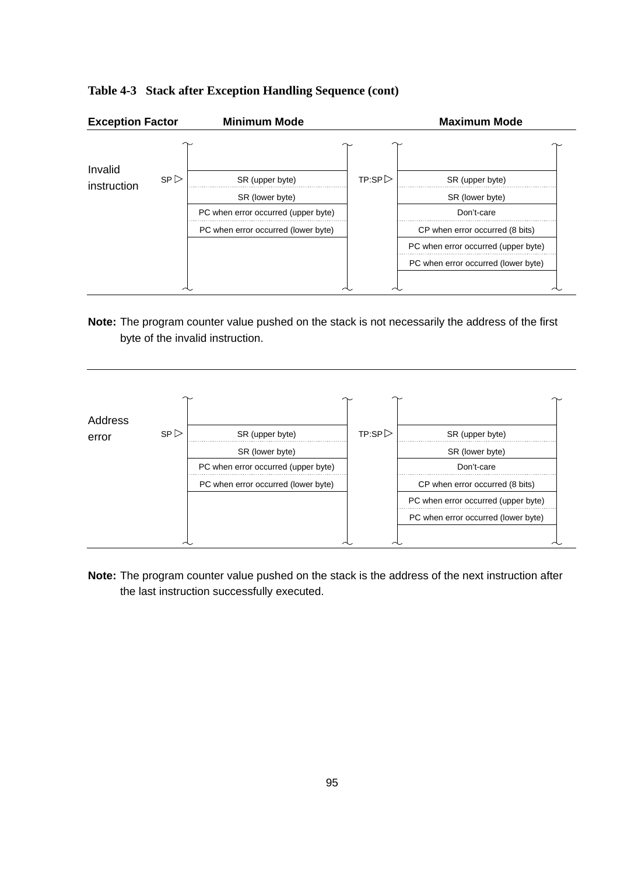

#### **Table 4-3 Stack after Exception Handling Sequence (cont)**

**Note:** The program counter value pushed on the stack is not necessarily the address of the first byte of the invalid instruction.



**Note:** The program counter value pushed on the stack is the address of the next instruction after the last instruction successfully executed.